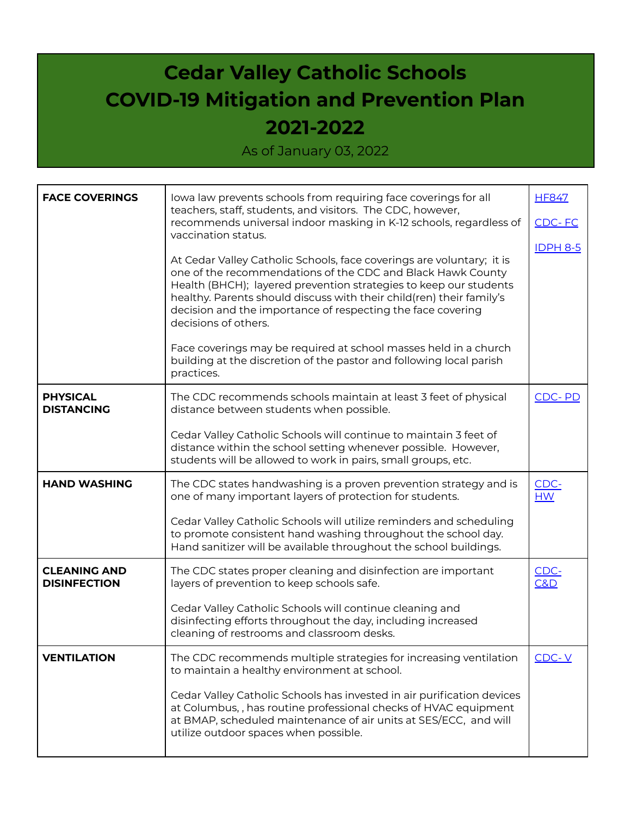## **Cedar Valley Catholic Schools COVID-19 Mitigation and Prevention Plan 2021-2022**

As of January 03, 2022

| <b>FACE COVERINGS</b>                      | lowa law prevents schools from requiring face coverings for all<br>teachers, staff, students, and visitors. The CDC, however,<br>recommends universal indoor masking in K-12 schools, regardless of<br>vaccination status.<br>At Cedar Valley Catholic Schools, face coverings are voluntary; it is<br>one of the recommendations of the CDC and Black Hawk County<br>Health (BHCH); layered prevention strategies to keep our students<br>healthy. Parents should discuss with their child(ren) their family's<br>decision and the importance of respecting the face covering<br>decisions of others.<br>Face coverings may be required at school masses held in a church<br>building at the discretion of the pastor and following local parish<br>practices. | <b>HF847</b><br>CDC-FC<br><b>IDPH 8-5</b> |
|--------------------------------------------|-----------------------------------------------------------------------------------------------------------------------------------------------------------------------------------------------------------------------------------------------------------------------------------------------------------------------------------------------------------------------------------------------------------------------------------------------------------------------------------------------------------------------------------------------------------------------------------------------------------------------------------------------------------------------------------------------------------------------------------------------------------------|-------------------------------------------|
| <b>PHYSICAL</b><br><b>DISTANCING</b>       | The CDC recommends schools maintain at least 3 feet of physical<br>distance between students when possible.                                                                                                                                                                                                                                                                                                                                                                                                                                                                                                                                                                                                                                                     | CDC-PD                                    |
|                                            | Cedar Valley Catholic Schools will continue to maintain 3 feet of<br>distance within the school setting whenever possible. However,<br>students will be allowed to work in pairs, small groups, etc.                                                                                                                                                                                                                                                                                                                                                                                                                                                                                                                                                            |                                           |
| <b>HAND WASHING</b>                        | The CDC states handwashing is a proven prevention strategy and is<br>one of many important layers of protection for students.                                                                                                                                                                                                                                                                                                                                                                                                                                                                                                                                                                                                                                   | CDC-<br>HM                                |
|                                            | Cedar Valley Catholic Schools will utilize reminders and scheduling<br>to promote consistent hand washing throughout the school day.<br>Hand sanitizer will be available throughout the school buildings.                                                                                                                                                                                                                                                                                                                                                                                                                                                                                                                                                       |                                           |
| <b>CLEANING AND</b><br><b>DISINFECTION</b> | The CDC states proper cleaning and disinfection are important<br>layers of prevention to keep schools safe.                                                                                                                                                                                                                                                                                                                                                                                                                                                                                                                                                                                                                                                     | CDC-<br>C&D                               |
|                                            | Cedar Valley Catholic Schools will continue cleaning and<br>disinfecting efforts throughout the day, including increased<br>cleaning of restrooms and classroom desks.                                                                                                                                                                                                                                                                                                                                                                                                                                                                                                                                                                                          |                                           |
| <b>VENTILATION</b>                         | The CDC recommends multiple strategies for increasing ventilation<br>to maintain a healthy environment at school.                                                                                                                                                                                                                                                                                                                                                                                                                                                                                                                                                                                                                                               | $CDC-Y$                                   |
|                                            | Cedar Valley Catholic Schools has invested in air purification devices<br>at Columbus, , has routine professional checks of HVAC equipment<br>at BMAP, scheduled maintenance of air units at SES/ECC, and will<br>utilize outdoor spaces when possible.                                                                                                                                                                                                                                                                                                                                                                                                                                                                                                         |                                           |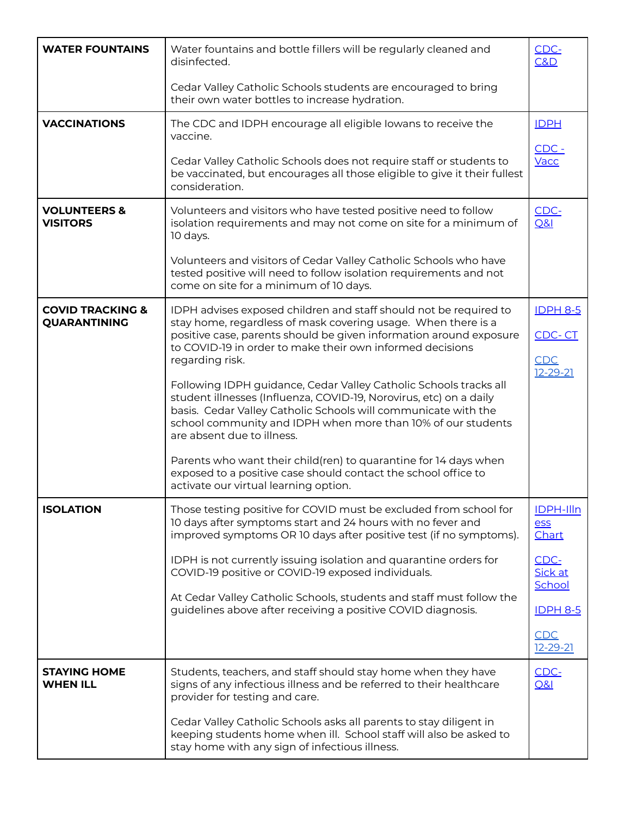| <b>WATER FOUNTAINS</b>                             | Water fountains and bottle fillers will be regularly cleaned and<br>disinfected.                                                                                                                                                                                                                        | CDC-<br>C&D                      |
|----------------------------------------------------|---------------------------------------------------------------------------------------------------------------------------------------------------------------------------------------------------------------------------------------------------------------------------------------------------------|----------------------------------|
|                                                    | Cedar Valley Catholic Schools students are encouraged to bring<br>their own water bottles to increase hydration.                                                                                                                                                                                        |                                  |
| <b>VACCINATIONS</b>                                | The CDC and IDPH encourage all eligible lowans to receive the<br>vaccine.                                                                                                                                                                                                                               | <b>IDPH</b>                      |
|                                                    | Cedar Valley Catholic Schools does not require staff or students to<br>be vaccinated, but encourages all those eligible to give it their fullest<br>consideration.                                                                                                                                      | $CDC -$<br>Vacc                  |
| <b>VOLUNTEERS &amp;</b><br><b>VISITORS</b>         | Volunteers and visitors who have tested positive need to follow<br>isolation requirements and may not come on site for a minimum of<br>10 days.                                                                                                                                                         | CDC-<br>Q&l                      |
|                                                    | Volunteers and visitors of Cedar Valley Catholic Schools who have<br>tested positive will need to follow isolation requirements and not<br>come on site for a minimum of 10 days.                                                                                                                       |                                  |
| <b>COVID TRACKING &amp;</b><br><b>QUARANTINING</b> | IDPH advises exposed children and staff should not be required to<br>stay home, regardless of mask covering usage. When there is a                                                                                                                                                                      | <b>IDPH 8-5</b>                  |
|                                                    | positive case, parents should be given information around exposure<br>to COVID-19 in order to make their own informed decisions<br>regarding risk.                                                                                                                                                      | CDC-CT<br>CDC<br>$12 - 29 - 21$  |
|                                                    | Following IDPH guidance, Cedar Valley Catholic Schools tracks all<br>student illnesses (Influenza, COVID-19, Norovirus, etc) on a daily<br>basis. Cedar Valley Catholic Schools will communicate with the<br>school community and IDPH when more than 10% of our students<br>are absent due to illness. |                                  |
|                                                    | Parents who want their child(ren) to quarantine for 14 days when<br>exposed to a positive case should contact the school office to<br>activate our virtual learning option.                                                                                                                             |                                  |
| <b>ISOLATION</b>                                   | Those testing positive for COVID must be excluded from school for<br>10 days after symptoms start and 24 hours with no fever and<br>improved symptoms OR 10 days after positive test (if no symptoms).                                                                                                  | <b>IDPH-Illn</b><br>ess<br>Chart |
|                                                    | IDPH is not currently issuing isolation and quarantine orders for<br>COVID-19 positive or COVID-19 exposed individuals.                                                                                                                                                                                 | CDC-<br>Sick at<br>School        |
|                                                    | At Cedar Valley Catholic Schools, students and staff must follow the<br>guidelines above after receiving a positive COVID diagnosis.                                                                                                                                                                    | <b>IDPH 8-5</b>                  |
|                                                    |                                                                                                                                                                                                                                                                                                         | CDC<br>$12 - 29 - 21$            |
| <b>STAYING HOME</b><br><b>WHEN ILL</b>             | Students, teachers, and staff should stay home when they have<br>signs of any infectious illness and be referred to their healthcare<br>provider for testing and care.                                                                                                                                  | CDC-<br>0&1                      |
|                                                    | Cedar Valley Catholic Schools asks all parents to stay diligent in<br>keeping students home when ill. School staff will also be asked to<br>stay home with any sign of infectious illness.                                                                                                              |                                  |